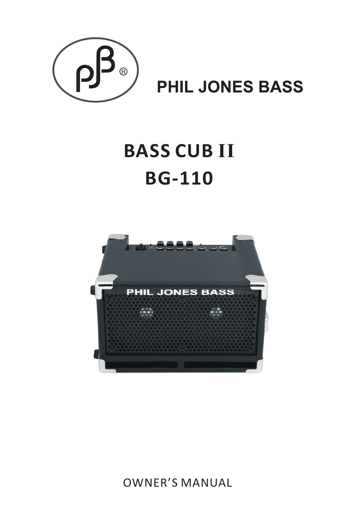

# **PHIL JONES BASS**

# **BASS CUB II BG-110**



OWNER'S MANUAL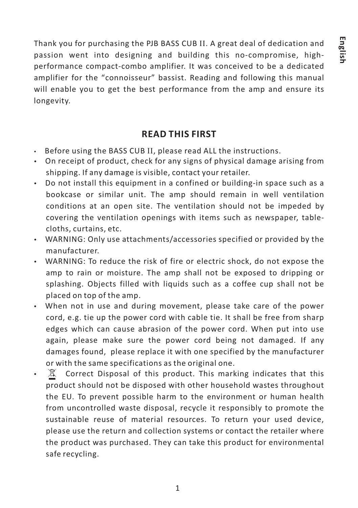Thank you for purchasing the PJB BASS CUB II. A great deal of dedication and passion went into designing and building this no-compromise, highperformance compact-combo amplifier. It was conceived to be a dedicated amplifier for the "connoisseur" bassist. Reading and following this manual will enable you to get the best performance from the amp and ensure its longevity.

# **READ THIS FIRST**

- $\bm{\cdot}\quad$  Before using the BASS CUB II, please read ALL the instructions.
- On receipt of product, check for any signs of physical damage arising from shipping. If any damage is visible, contact your retailer.
- Do not install this equipment in a confined or building-in space such as a bookcase or similar unit. The amp should remain in well ventilation conditions at an open site. The ventilation should not be impeded by covering the ventilation openings with items such as newspaper, tablecloths, curtains, etc.
- WARNING: Only use attachments/accessories specified or provided by the manufacturer.
- WARNING: To reduce the risk of fire or electric shock, do not expose the amp to rain or moisture. The amp shall not be exposed to dripping or splashing. Objects filled with liquids such as a coffee cup shall not be placed on top of the amp.
- When not in use and during movement, please take care of the power cord, e.g. tie up the power cord with cable tie. It shall be free from sharp edges which can cause abrasion of the power cord. When put into use again, please make sure the power cord being not damaged. If any damages found, please replace it with one specified by the manufacturer or with the same specifications as the original one.
- $\mathbb{X}$  Correct Disposal of this product. This marking indicates that this product should not be disposed with other household wastes throughout the EU. To prevent possible harm to the environment or human health from uncontrolled waste disposal, recycle it responsibly to promote the sustainable reuse of material resources. To return your used device, please use the return and collection systems or contact the retailer where the product was purchased. They can take this product for environmental safe recycling.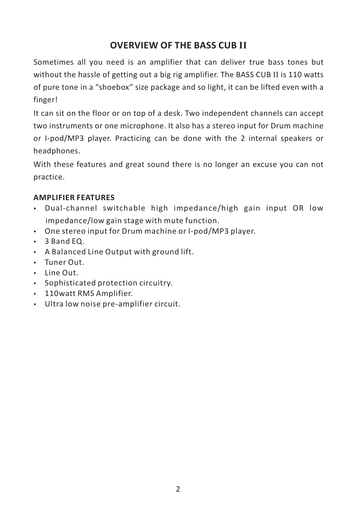# **OVERVIEW OF THE BASS CUB II**

Sometimes all you need is an amplifier that can deliver true bass tones but without the hassle of getting out a big rig amplifier. The BASS CUB II is 110 watts of pure tone in a "shoebox" size package and so light, it can be lifted even with a finger!

It can sit on the floor or on top of a desk. Two independent channels can accept two instruments or one microphone. It also has a stereo input for Drum machine or I-pod/MP3 player. Practicing can be done with the 2 internal speakers or headphones.

With these features and great sound there is no longer an excuse you can not practice.

# **AMPLIFIER FEATURES**

- Dual-channel switchable high impedance/high gain input OR low impedance/low gain stage with mute function.
- One stereo input for Drum machine or I-pod/MP3 player.
- 3 Band EQ.
- A Balanced Line Output with ground lift.
- Tuner Out.
- $\cdot$  Line Out.
- Sophisticated protection circuitry.
- 110watt RMS Amplifier.
- Ultra low noise pre-amplifier circuit.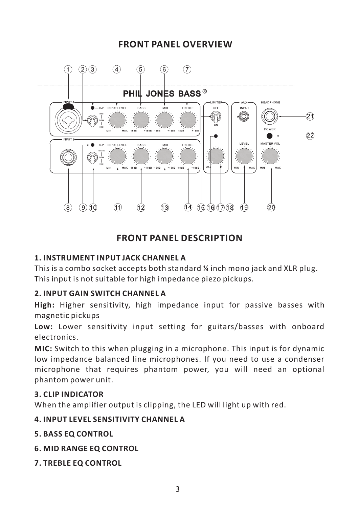# **FRONT PANEL OVERVIEW**



# **FRONT PANEL DESCRIPTION**

# **1. INSTRUMENT INPUT JACK CHANNEL A**

This is a combo socket accepts both standard ¼ inch mono jack and XLR plug. This input is not suitable for high impedance piezo pickups.

# **2. INPUT GAIN SWITCH CHANNEL A**

**High:** Higher sensitivity, high impedance input for passive basses with magnetic pickups

**Low:** Lower sensitivity input setting for guitars/basses with onboard electronics.

**MIC:** Switch to this when plugging in a microphone. This input is for dynamic low impedance balanced line microphones. If you need to use a condenser microphone that requires phantom power, you will need an optional phantom power unit.

# **3. CLIP INDICATOR**

When the amplifier output is clipping, the LED will light up with red.

# **4. INPUT LEVEL SENSITIVITY CHANNEL A**

- **5. BASS EQ CONTROL**
- **6. MID RANGE EQ CONTROL**
- **7. TREBLE EQ CONTROL**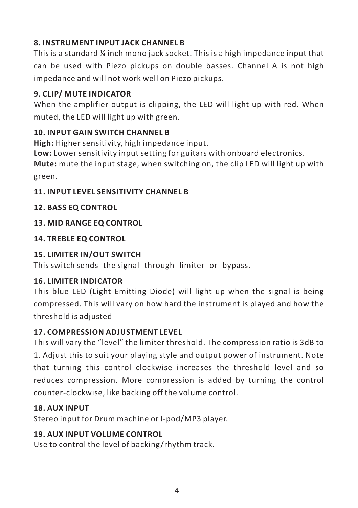# **8. INSTRUMENT INPUT JACK CHANNEL B**

This is a standard ¼ inch mono jack socket. This is a high impedance input that can be used with Piezo pickups on double basses. Channel A is not high impedance and will not work well on Piezo pickups.

# **9. CLIP/ MUTE INDICATOR**

When the amplifier output is clipping, the LED will light up with red. When muted, the LED will light up with green.

# **10. INPUT GAIN SWITCH CHANNEL B**

**High:** Higher sensitivity, high impedance input.

**Low:** Lower sensitivity input setting for guitars with onboard electronics.

**Mute:** mute the input stage, when switching on, the clip LED will light up with green.

# **11. INPUT LEVEL SENSITIVITY CHANNEL B**

# **12. BASS EQ CONTROL**

# **13. MID RANGE EQ CONTROL**

# **14. TREBLE EQ CONTROL**

# **15. LIMITER IN/OUT SWITCH**

This switch sends the signal through limiter or bypass.

# **16. LIMITER INDICATOR**

This blue LED (Light Emitting Diode) will light up when the signal is being compressed. This will vary on how hard the instrument is played and how the threshold is adjusted

# **17. COMPRESSION ADJUSTMENT LEVEL**

This will vary the "level" the limiter threshold. The compression ratio is 3dB to 1. Adjust this to suit your playing style and output power of instrument. Note that turning this control clockwise increases the threshold level and so reduces compression. More compression is added by turning the control counter-clockwise, like backing off the volume control.

# **18. AUX INPUT**

Stereo input for Drum machine or I-pod/MP3 player.

# **19. AUX INPUT VOLUME CONTROL**

Use to control the level of backing/rhythm track.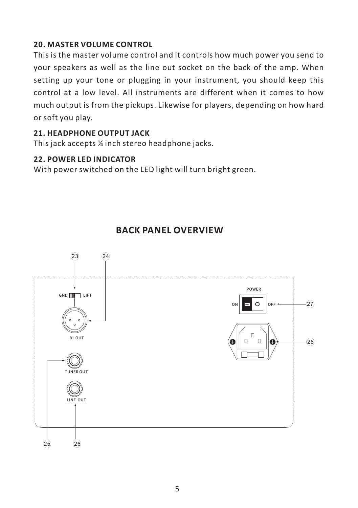# **20. MASTER VOLUME CONTROL**

This is the master volume control and it controls how much power you send to your speakers as well as the line out socket on the back of the amp. When setting up your tone or plugging in your instrument, you should keep this control at a low level. All instruments are different when it comes to how much output is from the pickups. Likewise for players, depending on how hard or soft you play.

# **21. HEADPHONE OUTPUT JACK**

This jack accepts ¼ inch stereo headphone jacks.

# **22. POWER LED INDICATOR**

With power switched on the LED light will turn bright green.



# **BACK PANEL OVERVIEW**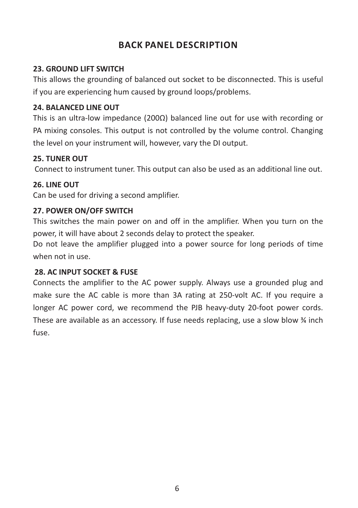# **BACK PANEL DESCRIPTION**

# **23. GROUND LIFT SWITCH**

This allows the grounding of balanced out socket to be disconnected. This is useful if you are experiencing hum caused by ground loops/problems.

# **24. BALANCED LINE OUT**

This is an ultra-low impedance (200Ω) balanced line out for use with recording or PA mixing consoles. This output is not controlled by the volume control. Changing the level on your instrument will, however, vary the DI output.

# **25. TUNER OUT**

Connect to instrument tuner. This output can also be used as an additional line out.

# **26. LINE OUT**

Can be used for driving a second amplifier.

# **27. POWER ON/OFF SWITCH**

This switches the main power on and off in the amplifier. When you turn on the power, it will have about 2 seconds delay to protect the speaker.

Do not leave the amplifier plugged into a power source for long periods of time when not in use.

# **28. AC INPUT SOCKET & FUSE**

Connects the amplifier to the AC power supply. Always use a grounded plug and make sure the AC cable is more than 3A rating at 250-volt AC. If you require a longer AC power cord, we recommend the PJB heavy-duty 20-foot power cords. These are available as an accessory. If fuse needs replacing, use a slow blow  $\frac{3}{4}$  inch fuse.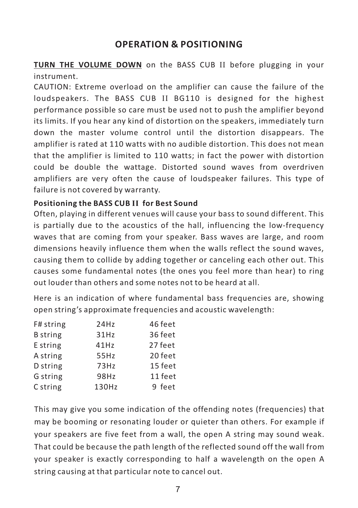# **OPERATION & POSITIONING**

TURN THE VOLUME DOWN on the BASS CUB II before plugging in your instrument.

CAUTION: Extreme overload on the amplifier can cause the failure of the loudspeakers. The BASS CUB II BG110 is designed for the highest performance possible so care must be used not to push the amplifier beyond its limits. If you hear any kind of distortion on the speakers, immediately turn down the master volume control until the distortion disappears. The amplifier is rated at 110 watts with no audible distortion. This does not mean that the amplifier is limited to 110 watts; in fact the power with distortion could be double the wattage. Distorted sound waves from overdriven amplifiers are very often the cause of loudspeaker failures. This type of failure is not covered by warranty.

#### **Positioning the BASS CUB II for Best Sound**

Often, playing in different venues will cause your bass to sound different. This is partially due to the acoustics of the hall, influencing the low-frequency waves that are coming from your speaker. Bass waves are large, and room dimensions heavily influence them when the walls reflect the sound waves, causing them to collide by adding together or canceling each other out. This causes some fundamental notes (the ones you feel more than hear) to ring out louder than others and some notes not to be heard at all.

Here is an indication of where fundamental bass frequencies are, showing open string's approximate frequencies and acoustic wavelength:

| F# string       | 24Hz  | 46 feet |
|-----------------|-------|---------|
| <b>B</b> string | 31Hz  | 36 feet |
| E string        | 41Hz  | 27 feet |
| A string        | 55Hz  | 20 feet |
| D string        | 73Hz  | 15 feet |
| G string        | 98Hz  | 11 feet |
| C string        | 130Hz | 9 feet  |

This may give you some indication of the offending notes (frequencies) that may be booming or resonating louder or quieter than others. For example if your speakers are five feet from a wall, the open A string may sound weak. That could be because the path length of the reflected sound off the wall from your speaker is exactly corresponding to half a wavelength on the open A string causing at that particular note to cancel out.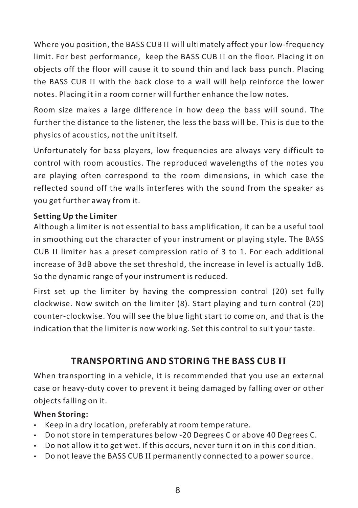Where you position, the BASS CUB II will ultimately affect your low-frequency limit. For best performance, keep the BASS CUB II on the floor. Placing it on objects off the floor will cause it to sound thin and lack bass punch. Placing the BASS CUB II with the back close to a wall will help reinforce the lower notes. Placing it in a room corner will further enhance the low notes.

Room size makes a large difference in how deep the bass will sound. The further the distance to the listener, the less the bass will be. This is due to the physics of acoustics, not the unit itself.

Unfortunately for bass players, low frequencies are always very difficult to control with room acoustics. The reproduced wavelengths of the notes you are playing often correspond to the room dimensions, in which case the reflected sound off the walls interferes with the sound from the speaker as you get further away from it.

# **Setting Up the Limiter**

Although a limiter is not essential to bass amplification, it can be a useful tool in smoothing out the character of your instrument or playing style. The BASS CUB limiter has a preset compression ratio of 3 to 1. For each additional II increase of 3dB above the set threshold, the increase in level is actually 1dB. So the dynamic range of your instrument is reduced.

First set up the limiter by having the compression control (20) set fully clockwise. Now switch on the limiter (8). Start playing and turn control (20) counter-clockwise. You will see the blue light start to come on, and that is the indication that the limiter is now working. Set this control to suit your taste.

# **TRANSPORTING AND STORING THE BASS CUB II**

When transporting in a vehicle, it is recommended that you use an external case or heavy-duty cover to prevent it being damaged by falling over or other objects falling on it.

#### **When Storing:**

- Exercing a dry location, preferably at room temperature.
- Do not store in temperatures below -20 Degrees C or above 40 Degrees C.
- Do not allow it to get wet. If this occurs, never turn it on in this condition.
- Do not leave the BASS CUB II permanently connected to a power source.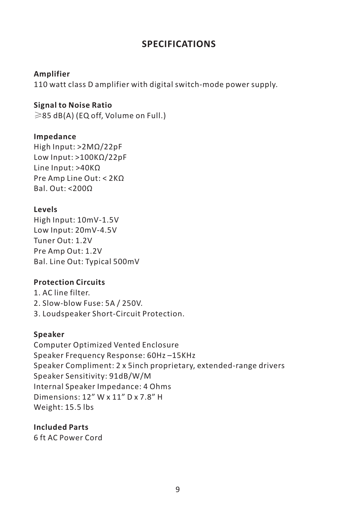# **SPECIFICATIONS**

#### **Amplifier**

110 watt class D amplifier with digital switch-mode power supply.

#### **Signal to Noise Ratio**

 $\geq$ 85 dB(A) (EQ off, Volume on Full.)

#### **Impedance**

High Input: >2MΩ/22pF Low Input: >100KΩ/22pF Line Input: >40KΩ Pre Amp Line Out: < 2KΩ Bal. Out: <200Ω

# **Levels**

High Input: 10mV-1.5V Low Input: 20mV-4.5V Tuner Out: 1.2V Pre Amp Out: 1.2V Bal. Line Out: Typical 500mV

# **Protection Circuits**

1. AC line filter. 2. Slow-blow Fuse: 5A / 250V. 3. Loudspeaker Short-Circuit Protection.

# **Speaker**

Computer Optimized Vented Enclosure Speaker Frequency Response: 60Hz –15KHz Speaker Compliment: 2 x 5inch proprietary, extended-range drivers Speaker Sensitivity: 91dB/W/M Internal Speaker Impedance: 4 Ohms Dimensions: 12" W x 11" D x 7.8" H Weight: 15.5 lbs

# **Included Parts**

6 ft AC Power Cord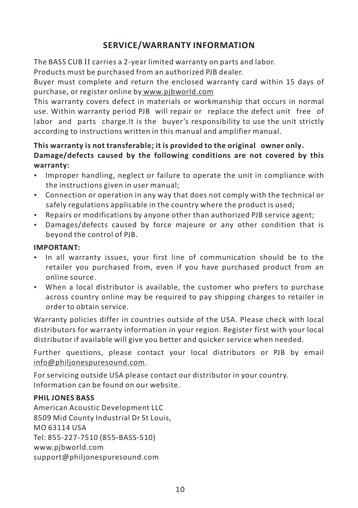# **SERVICE/WARRANTY INFORMATION**

The BASS CUB II carries a 2-year limited warranty on parts and labor. Products must be purchased from an authorized PJB dealer.

Buyer must complete and return the enclosed warranty card within 15 days of purchase, or register online by www.pjbworld.com

This warranty covers defect in materials or workmanship that occurs in normal use. Within warranty period PJB will repair or replace the defect unit free of labor and parts charge.It is the buyer's responsibility to use the unit strictly according to instructions written in this manual and amplifier manual.

# **This warranty is not transferable; it is provided to the original owner only**. **Damage/defects caused by the following conditions are not covered by this**

- **warranty:** Improper handling, neglect or failure to operate the unit in compliance with
- the instructions given in user manual; Connection or operation in any way that does not comply with the technical or safely regulations applicable in the country where the product is used;<br>• Repairs or modifications by anyone other than authorized PJB service agent:
- 
- Repairs or modifications by anyone other than authorized PJB service agent; Damages/defects caused by force majeure or any other condition that is beyond the control of PJB.

- **IMPORTANT:** In all warranty issues, your first line of communication should be to the retailer you purchased from, even if you have purchased product from an
- online source. When a local distributor is available, the customer who prefers to purchase across country online may be required to pay shipping charges to retailer in order to obtain service.

Warranty policies differ in countries outside of the USA. Please check with local distributors for warranty information in your region. Register first with your local distributor if available will give you better and quicker service when needed.

Further questions, please contact your local distributors or PJB by email info@philjonespuresound.com.

For servicing outside USA please contact our distributor in your country. Information can be found on our website.

#### **PHIL JONES BASS**

American Acoustic Development LLC 8509 Mid County Industrial Dr St Louis, MO 63114 USA Tel: 855-227-7510 (855-BASS-510) www.pjbworld.com support@philjonespuresound.com